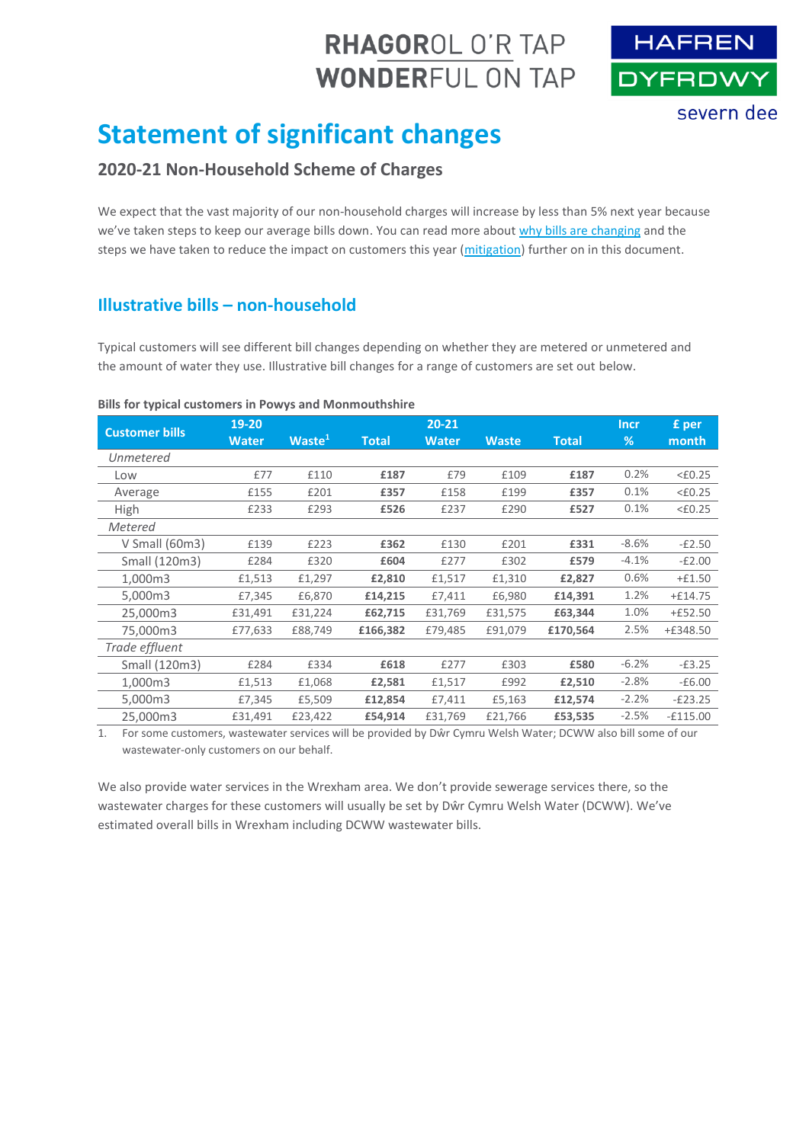# RHAGOROL O'R TAP **WONDERFUL ON TAP**



# **Statement of significant changes**

# **2020-21 Non-Household Scheme of Charges**

We expect that the vast majority of our non-household charges will increase by less than 5% next year because we've taken steps to keep our average bills down. You can read more about [why bills are changing](#page-1-0) and the steps we have taken to reduce the impact on customers this year [\(mitigation\)](#page-2-0) further on in this document.

# **Illustrative bills – non-household**

Typical customers will see different bill changes depending on whether they are metered or unmetered and the amount of water they use. Illustrative bill changes for a range of customers are set out below.

#### **Bills for typical customers in Powys and Monmouthshire**

| <b>Customer bills</b> | 19-20        |                    |              | $20 - 21$    |              |              | <b>Incr</b> | £ per            |
|-----------------------|--------------|--------------------|--------------|--------------|--------------|--------------|-------------|------------------|
|                       | <b>Water</b> | Waste <sup>1</sup> | <b>Total</b> | <b>Water</b> | <b>Waste</b> | <b>Total</b> | %           | month            |
| Unmetered             |              |                    |              |              |              |              |             |                  |
| Low                   | £77          | £110               | £187         | £79          | £109         | £187         | 0.2%        | $<\epsilon$ 0.25 |
| Average               | £155         | £201               | £357         | £158         | £199         | £357         | 0.1%        | $<\epsilon$ 0.25 |
| <b>High</b>           | £233         | £293               | £526         | £237         | £290         | £527         | 0.1%        | $<\epsilon$ 0.25 |
| Metered               |              |                    |              |              |              |              |             |                  |
| V Small (60m3)        | £139         | £223               | £362         | £130         | £201         | £331         | $-8.6%$     | $-E2.50$         |
| Small (120m3)         | £284         | £320               | £604         | £277         | £302         | £579         | $-4.1%$     | $-E2.00$         |
| 1,000m3               | £1,513       | £1,297             | £2,810       | £1,517       | £1,310       | £2,827       | 0.6%        | $+£1.50$         |
| 5,000m3               | £7,345       | £6,870             | £14,215      | £7,411       | £6,980       | £14,391      | 1.2%        | $+£14.75$        |
| 25,000m3              | £31,491      | £31,224            | £62,715      | £31,769      | £31,575      | £63,344      | 1.0%        | $+£52.50$        |
| 75.000m3              | £77,633      | £88,749            | £166,382     | £79,485      | £91,079      | £170,564     | 2.5%        | $+£348.50$       |
| Trade effluent        |              |                    |              |              |              |              |             |                  |
| Small (120m3)         | £284         | £334               | £618         | £277         | £303         | £580         | $-6.2%$     | $-E3.25$         |
| 1,000m3               | £1,513       | £1,068             | £2,581       | £1,517       | £992         | £2,510       | $-2.8%$     | $-£6.00$         |
| 5,000m3               | £7,345       | £5,509             | £12,854      | £7,411       | £5,163       | £12,574      | $-2.2%$     | $-E23.25$        |
| 25,000m3              | £31,491      | £23,422            | £54,914      | £31,769      | £21,766      | £53,535      | $-2.5%$     | $-£115.00$       |

1. For some customers, wastewater services will be provided by Dŵr Cymru Welsh Water; DCWW also bill some of our wastewater-only customers on our behalf.

We also provide water services in the Wrexham area. We don't provide sewerage services there, so the wastewater charges for these customers will usually be set by Dŵr Cymru Welsh Water (DCWW). We've estimated overall bills in Wrexham including DCWW wastewater bills.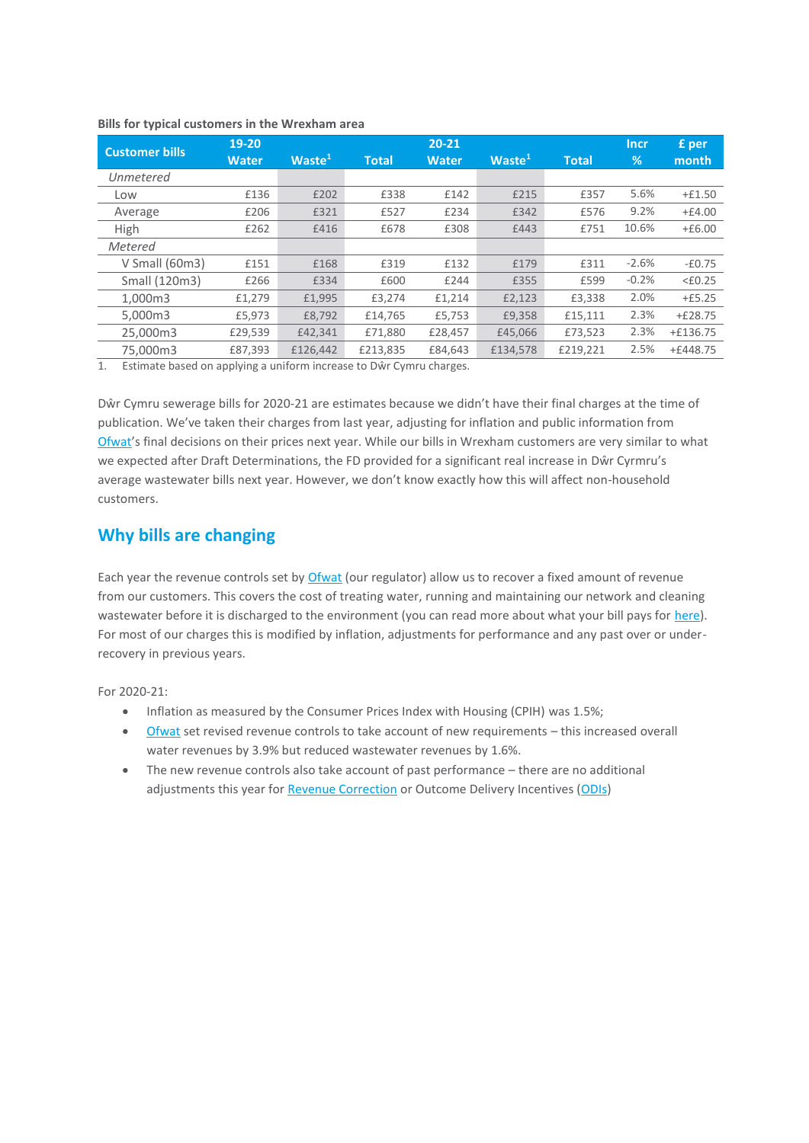| <b>Customer bills</b> | $19-20$      |                    | $20 - 21$    |              |                    |              | <b>Incr</b> | £ per            |
|-----------------------|--------------|--------------------|--------------|--------------|--------------------|--------------|-------------|------------------|
|                       | <b>Water</b> | Waste <sup>1</sup> | <b>Total</b> | <b>Water</b> | Waste <sup>1</sup> | <b>Total</b> | %           | month            |
| Unmetered             |              |                    |              |              |                    |              |             |                  |
| Low                   | £136         | £202               | £338         | £142         | £215               | £357         | 5.6%        | $+£1.50$         |
| Average               | £206         | £321               | £527         | £234         | £342               | £576         | 9.2%        | $+£4.00$         |
| High                  | £262         | £416               | £678         | £308         | £443               | £751         | 10.6%       | $+£6.00$         |
| Metered               |              |                    |              |              |                    |              |             |                  |
| V Small (60m3)        | £151         | £168               | £319         | £132         | £179               | £311         | $-2.6%$     | $-£0.75$         |
| Small (120m3)         | £266         | £334               | £600         | £244         | £355               | £599         | $-0.2%$     | $<\epsilon$ 0.25 |
| 1.000m3               | £1,279       | £1,995             | £3.274       | £1,214       | £2,123             | £3.338       | 2.0%        | $+£5.25$         |
| 5,000m3               | £5,973       | £8,792             | £14,765      | £5,753       | £9,358             | £15,111      | 2.3%        | $+£28.75$        |
| 25,000m3              | £29,539      | £42,341            | £71,880      | £28,457      | £45,066            | £73,523      | 2.3%        | $+£136.75$       |
| 75,000m3              | £87,393      | £126,442           | £213,835     | £84,643      | £134,578           | £219,221     | 2.5%        | $+£448.75$       |

#### <span id="page-1-1"></span>**Bills for typical customers in the Wrexham area**

1. Estimate based on applying a uniform increase to Dŵr Cymru charges.

Dŵr Cymru sewerage bills for 2020-21 are estimates because we didn't have their final charges at the time of publication. We've taken their charges from last year, adjusting for inflation and public information from [Ofwat](https://www.ofwat.gov.uk/)'s final decisions on their prices next year. While our bills in Wrexham customers are very similar to what we expected after Draft Determinations, the FD provided for a significant real increase in Dŵr Cyrmru's average wastewater bills next year. However, we don't know exactly how this will affect non-household customers.

# <span id="page-1-0"></span>**Why bills are changing**

Each year the revenue controls set by [Ofwat](https://www.ofwat.gov.uk/) (our regulator) allow us to recover a fixed amount of revenue from our customers. This covers the cost of treating water, running and maintaining our network and cleaning wastewater before it is discharged to the environment (you can read more about what your bill pays for [here\)](https://www.hdcymru.co.uk/my-account/our-service-explained/). For most of our charges this is modified by inflation, adjustments for performance and any past over or underrecovery in previous years.

For 2020-21:

- Inflation as measured by the Consumer Prices Index with Housing (CPIH) was 1.5%;
- [Ofwat](https://www.ofwat.gov.uk/) set revised revenue controls to take account of new requirements this increased overall water revenues by 3.9% but reduced wastewater revenues by 1.6%.
- The new revenue controls also take account of past performance there are no additional adjustments this year for [Revenue Correction](#page-3-0) or Outcome Delivery Incentives [\(ODIs\)](#page-3-1)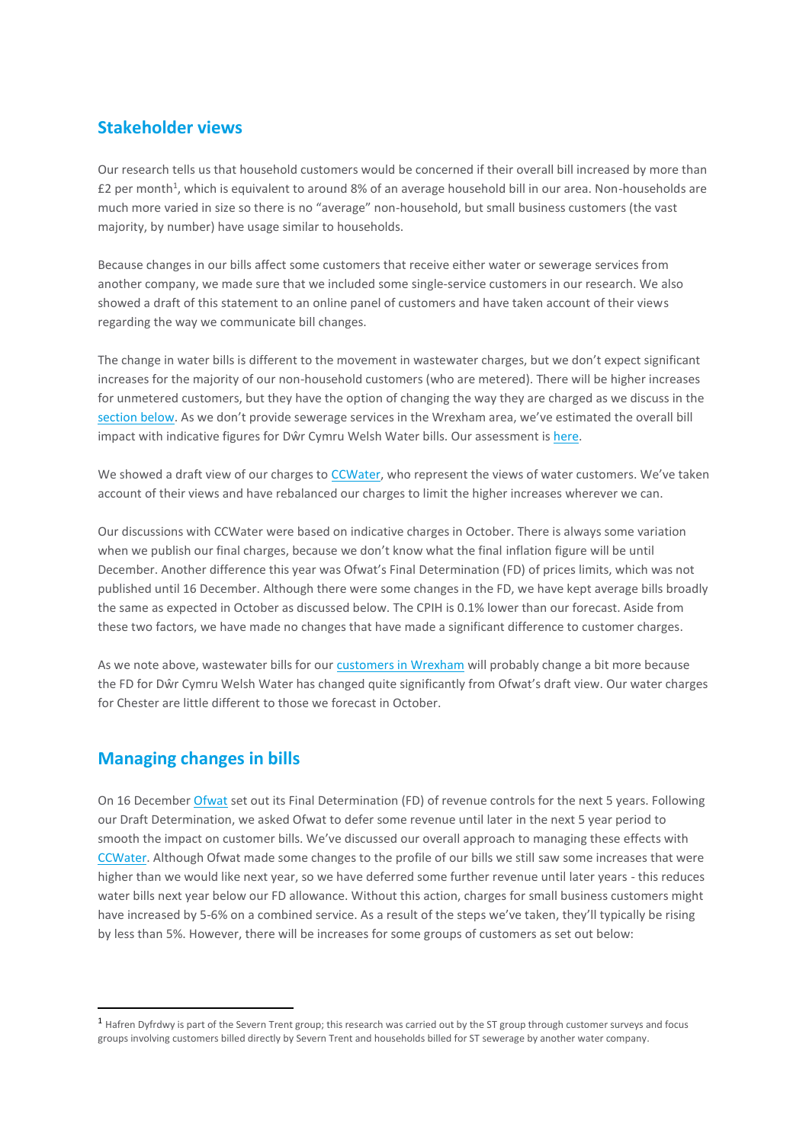## **Stakeholder views**

Our research tells us that household customers would be concerned if their overall bill increased by more than £2 per month<sup>1</sup>, which is equivalent to around 8% of an average household bill in our area. Non-households are much more varied in size so there is no "average" non-household, but small business customers (the vast majority, by number) have usage similar to households.

Because changes in our bills affect some customers that receive either water or sewerage services from another company, we made sure that we included some single-service customers in our research. We also showed a draft of this statement to an online panel of customers and have taken account of their views regarding the way we communicate bill changes.

The change in water bills is different to the movement in wastewater charges, but we don't expect significant increases for the majority of our non-household customers (who are metered). There will be higher increases for unmetered customers, but they have the option of changing the way they are charged as we discuss in the [section below.](#page-2-0) As we don't provide sewerage services in the Wrexham area, we've estimated the overall bill impact with indicative figures for Dŵr Cymru Welsh Water bills. Our assessment i[s here.](#page-1-1)

We showed a draft view of our charges to [CCWater](https://www.ccwater.org.uk/), who represent the views of water customers. We've taken account of their views and have rebalanced our charges to limit the higher increases wherever we can.

Our discussions with CCWater were based on indicative charges in October. There is always some variation when we publish our final charges, because we don't know what the final inflation figure will be until December. Another difference this year was Ofwat's Final Determination (FD) of prices limits, which was not published until 16 December. Although there were some changes in the FD, we have kept average bills broadly the same as expected in October as discussed below. The CPIH is 0.1% lower than our forecast. Aside from these two factors, we have made no changes that have made a significant difference to customer charges.

As we note above, wastewater bills for our [customers in Wrexham](#page-1-1) will probably change a bit more because the FD for Dŵr Cymru Welsh Water has changed quite significantly from Ofwat's draft view. Our water charges for Chester are little different to those we forecast in October.

### <span id="page-2-0"></span>**Managing changes in bills**

**.** 

On 16 December [Ofwat](https://www.ofwat.gov.uk/) set out its Final Determination (FD) of revenue controls for the next 5 years. Following our Draft Determination, we asked Ofwat to defer some revenue until later in the next 5 year period to smooth the impact on customer bills. We've discussed our overall approach to managing these effects with [CCWater.](https://www.ccwater.org.uk/) Although Ofwat made some changes to the profile of our bills we still saw some increases that were higher than we would like next year, so we have deferred some further revenue until later years - this reduces water bills next year below our FD allowance. Without this action, charges for small business customers might have increased by 5-6% on a combined service. As a result of the steps we've taken, they'll typically be rising by less than 5%. However, there will be increases for some groups of customers as set out below:

<sup>1</sup> Hafren Dyfrdwy is part of the Severn Trent group; this research was carried out by the ST group through customer surveys and focus groups involving customers billed directly by Severn Trent and households billed for ST sewerage by another water company.